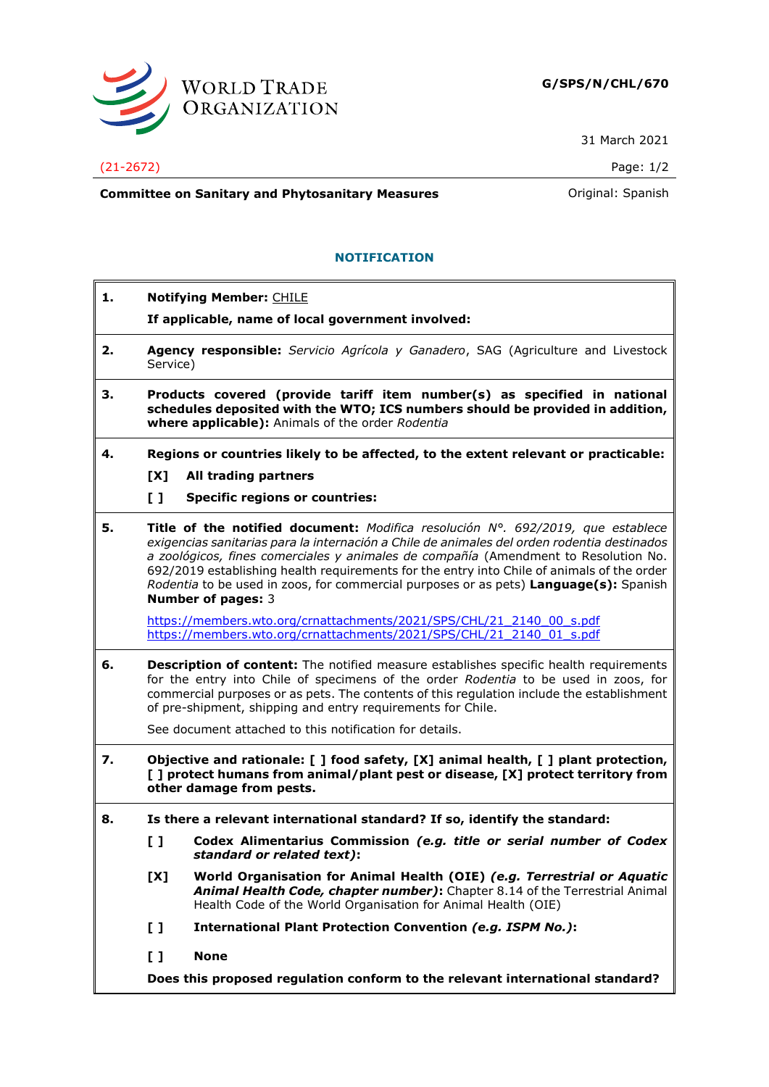

31 March 2021

## (21-2672) Page: 1/2

**Committee on Sanitary and Phytosanitary Measures Committee on Sanish** 

## **NOTIFICATION**

| 1. |                                                                                                                                                                                                               | <b>Notifying Member: CHILE</b>                                                                                                                                                                                                                                                                                                                                                                                                                                                                      |  |
|----|---------------------------------------------------------------------------------------------------------------------------------------------------------------------------------------------------------------|-----------------------------------------------------------------------------------------------------------------------------------------------------------------------------------------------------------------------------------------------------------------------------------------------------------------------------------------------------------------------------------------------------------------------------------------------------------------------------------------------------|--|
|    |                                                                                                                                                                                                               | If applicable, name of local government involved:                                                                                                                                                                                                                                                                                                                                                                                                                                                   |  |
| 2. | Service)                                                                                                                                                                                                      | Agency responsible: Servicio Agrícola y Ganadero, SAG (Agriculture and Livestock                                                                                                                                                                                                                                                                                                                                                                                                                    |  |
| з. | Products covered (provide tariff item number(s) as specified in national<br>schedules deposited with the WTO; ICS numbers should be provided in addition,<br>where applicable): Animals of the order Rodentia |                                                                                                                                                                                                                                                                                                                                                                                                                                                                                                     |  |
| 4. |                                                                                                                                                                                                               | Regions or countries likely to be affected, to the extent relevant or practicable:                                                                                                                                                                                                                                                                                                                                                                                                                  |  |
|    | [X]                                                                                                                                                                                                           | All trading partners                                                                                                                                                                                                                                                                                                                                                                                                                                                                                |  |
|    | $\mathbf{L}$                                                                                                                                                                                                  | <b>Specific regions or countries:</b>                                                                                                                                                                                                                                                                                                                                                                                                                                                               |  |
| 5. |                                                                                                                                                                                                               | Title of the notified document: Modifica resolución $N^{\circ}$ . 692/2019, que establece<br>exigencias sanitarias para la internación a Chile de animales del orden rodentia destinados<br>a zoológicos, fines comerciales y animales de compañía (Amendment to Resolution No.<br>692/2019 establishing health requirements for the entry into Chile of animals of the order<br>Rodentia to be used in zoos, for commercial purposes or as pets) Language(s): Spanish<br><b>Number of pages: 3</b> |  |
|    |                                                                                                                                                                                                               | https://members.wto.org/crnattachments/2021/SPS/CHL/21 2140 00 s.pdf<br>https://members.wto.org/crnattachments/2021/SPS/CHL/21 2140 01 s.pdf                                                                                                                                                                                                                                                                                                                                                        |  |
| 6. |                                                                                                                                                                                                               | <b>Description of content:</b> The notified measure establishes specific health requirements<br>for the entry into Chile of specimens of the order Rodentia to be used in zoos, for<br>commercial purposes or as pets. The contents of this regulation include the establishment<br>of pre-shipment, shipping and entry requirements for Chile.                                                                                                                                                     |  |
|    |                                                                                                                                                                                                               | See document attached to this notification for details.                                                                                                                                                                                                                                                                                                                                                                                                                                             |  |
| 7. | Objective and rationale: [ ] food safety, [X] animal health, [ ] plant protection,<br>[ ] protect humans from animal/plant pest or disease, [X] protect territory from<br>other damage from pests.            |                                                                                                                                                                                                                                                                                                                                                                                                                                                                                                     |  |
| 8. |                                                                                                                                                                                                               | Is there a relevant international standard? If so, identify the standard:                                                                                                                                                                                                                                                                                                                                                                                                                           |  |
|    | $\mathbf{L}$                                                                                                                                                                                                  | Codex Alimentarius Commission (e.g. title or serial number of Codex<br>standard or related text):                                                                                                                                                                                                                                                                                                                                                                                                   |  |
|    | [X]                                                                                                                                                                                                           | World Organisation for Animal Health (OIE) (e.g. Terrestrial or Aquatic<br>Animal Health Code, chapter number): Chapter 8.14 of the Terrestrial Animal<br>Health Code of the World Organisation for Animal Health (OIE)                                                                                                                                                                                                                                                                             |  |
|    | $\mathbf{L}$                                                                                                                                                                                                  | International Plant Protection Convention (e.g. ISPM No.):                                                                                                                                                                                                                                                                                                                                                                                                                                          |  |
|    | $\mathbf{L}$                                                                                                                                                                                                  | <b>None</b>                                                                                                                                                                                                                                                                                                                                                                                                                                                                                         |  |
|    |                                                                                                                                                                                                               | Does this proposed regulation conform to the relevant international standard?                                                                                                                                                                                                                                                                                                                                                                                                                       |  |
|    |                                                                                                                                                                                                               |                                                                                                                                                                                                                                                                                                                                                                                                                                                                                                     |  |